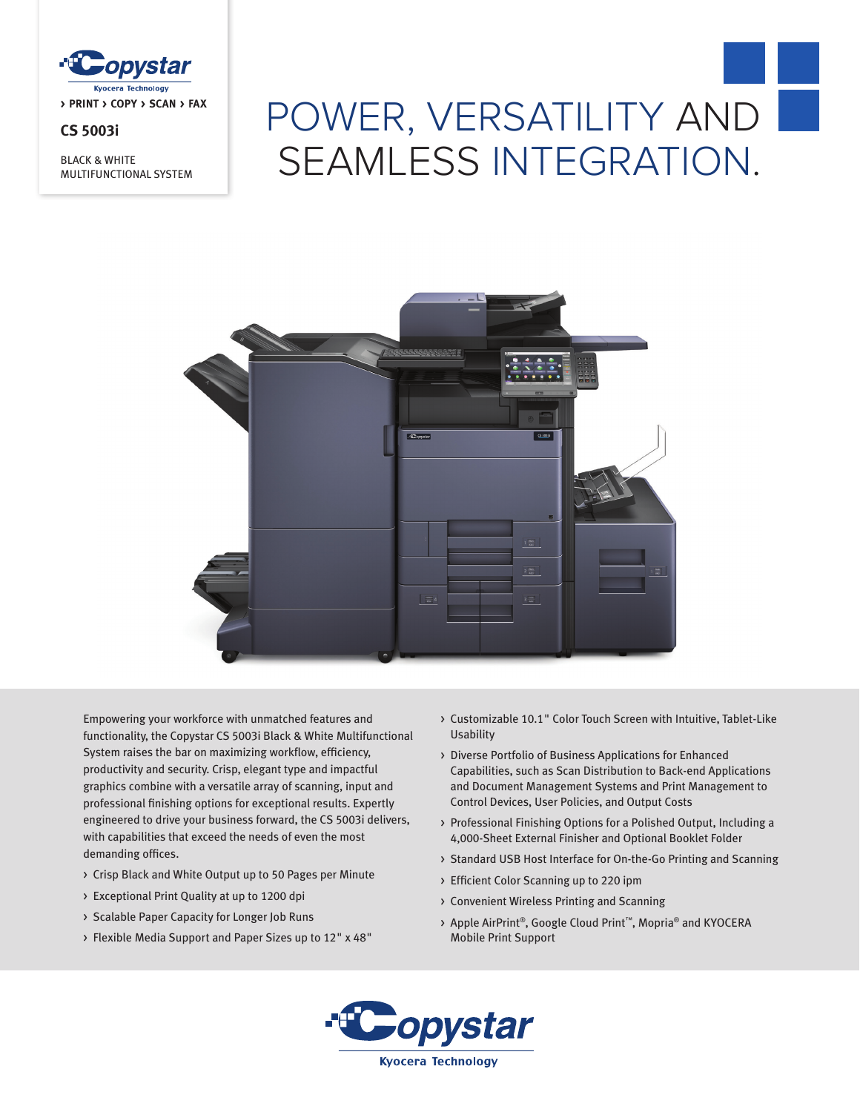

## **CS 5003i**

BLACK & WHITE MULTIFUNCTIONAL SYSTEM

# POWER, VERSATILITY AND SEAMLESS INTEGRATION.



Empowering your workforce with unmatched features and functionality, the Copystar CS 5003i Black & White Multifunctional System raises the bar on maximizing workflow, efficiency, productivity and security. Crisp, elegant type and impactful graphics combine with a versatile array of scanning, input and professional finishing options for exceptional results. Expertly engineered to drive your business forward, the CS 5003i delivers, with capabilities that exceed the needs of even the most demanding offices.

- > Crisp Black and White Output up to 50 Pages per Minute
- > Exceptional Print Quality at up to 1200 dpi
- > Scalable Paper Capacity for Longer Job Runs
- > Flexible Media Support and Paper Sizes up to 12" x 48"
- > Customizable 10.1" Color Touch Screen with Intuitive, Tablet-Like Usability
- > Diverse Portfolio of Business Applications for Enhanced Capabilities, such as Scan Distribution to Back-end Applications and Document Management Systems and Print Management to Control Devices, User Policies, and Output Costs
- > Professional Finishing Options for a Polished Output, Including a 4,000-Sheet External Finisher and Optional Booklet Folder
- > Standard USB Host Interface for On-the-Go Printing and Scanning
- > Efficient Color Scanning up to 220 ipm
- > Convenient Wireless Printing and Scanning
- > Apple AirPrint®, Google Cloud Print™, Mopria® and KYOCERA Mobile Print Support